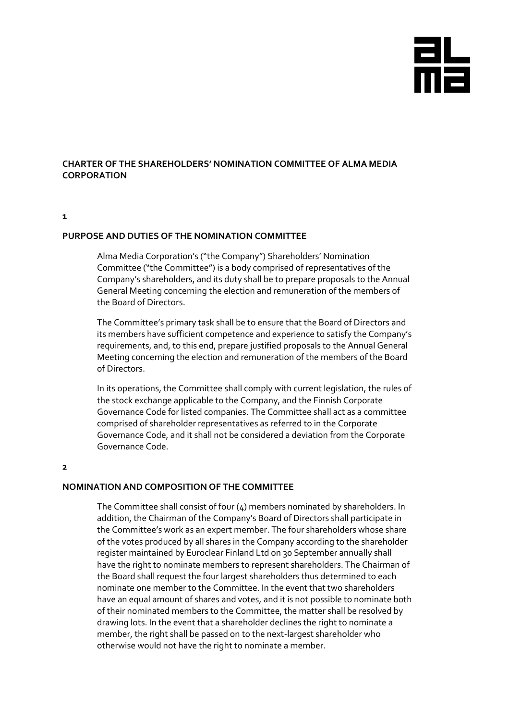

# **CHARTER OF THE SHAREHOLDERS' NOMINATION COMMITTEE OF ALMA MEDIA CORPORATION**

#### **1**

#### **PURPOSE AND DUTIES OF THE NOMINATION COMMITTEE**

Alma Media Corporation's ("the Company") Shareholders' Nomination Committee ("the Committee") is a body comprised of representatives of the Company's shareholders, and its duty shall be to prepare proposals to the Annual General Meeting concerning the election and remuneration of the members of the Board of Directors.

The Committee's primary task shall be to ensure that the Board of Directors and its members have sufficient competence and experience to satisfy the Company's requirements, and, to this end, prepare justified proposals to the Annual General Meeting concerning the election and remuneration of the members of the Board of Directors.

In its operations, the Committee shall comply with current legislation, the rules of the stock exchange applicable to the Company, and the Finnish Corporate Governance Code for listed companies. The Committee shall act as a committee comprised of shareholder representatives as referred to in the Corporate Governance Code, and it shall not be considered a deviation from the Corporate Governance Code.

#### **2**

#### **NOMINATION AND COMPOSITION OF THE COMMITTEE**

The Committee shall consist of four (4) members nominated by shareholders. In addition, the Chairman of the Company's Board of Directors shall participate in the Committee's work as an expert member. The four shareholders whose share of the votes produced by all shares in the Company according to the shareholder register maintained by Euroclear Finland Ltd on 30 September annually shall have the right to nominate members to represent shareholders. The Chairman of the Board shall request the four largest shareholders thus determined to each nominate one member to the Committee. In the event that two shareholders have an equal amount of shares and votes, and it is not possible to nominate both of their nominated members to the Committee, the matter shall be resolved by drawing lots. In the event that a shareholder declines the right to nominate a member, the right shall be passed on to the next-largest shareholder who otherwise would not have the right to nominate a member.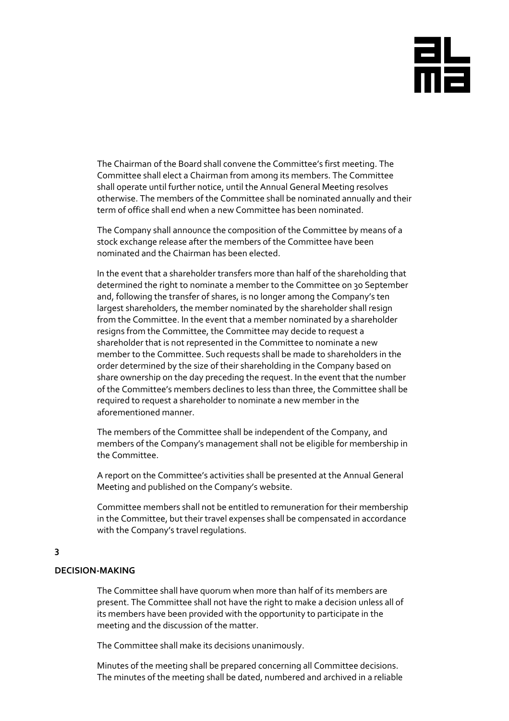# aL<br>Ma

The Chairman of the Board shall convene the Committee's first meeting. The Committee shall elect a Chairman from among its members. The Committee shall operate until further notice, until the Annual General Meeting resolves otherwise. The members of the Committee shall be nominated annually and their term of office shall end when a new Committee has been nominated.

The Company shall announce the composition of the Committee by means of a stock exchange release after the members of the Committee have been nominated and the Chairman has been elected.

In the event that a shareholder transfers more than half of the shareholding that determined the right to nominate a member to the Committee on 30 September and, following the transfer of shares, is no longer among the Company's ten largest shareholders, the member nominated by the shareholder shall resign from the Committee. In the event that a member nominated by a shareholder resigns from the Committee, the Committee may decide to request a shareholder that is not represented in the Committee to nominate a new member to the Committee. Such requests shall be made to shareholders in the order determined by the size of their shareholding in the Company based on share ownership on the day preceding the request. In the event that the number of the Committee's members declines to less than three, the Committee shall be required to request a shareholder to nominate a new member in the aforementioned manner.

The members of the Committee shall be independent of the Company, and members of the Company's management shall not be eligible for membership in the Committee.

A report on the Committee's activities shall be presented at the Annual General Meeting and published on the Company's website.

Committee members shall not be entitled to remuneration for their membership in the Committee, but their travel expenses shall be compensated in accordance with the Company's travel regulations.

#### **3**

#### **DECISION-MAKING**

The Committee shall have quorum when more than half of its members are present. The Committee shall not have the right to make a decision unless all of its members have been provided with the opportunity to participate in the meeting and the discussion of the matter.

The Committee shall make its decisions unanimously.

Minutes of the meeting shall be prepared concerning all Committee decisions. The minutes of the meeting shall be dated, numbered and archived in a reliable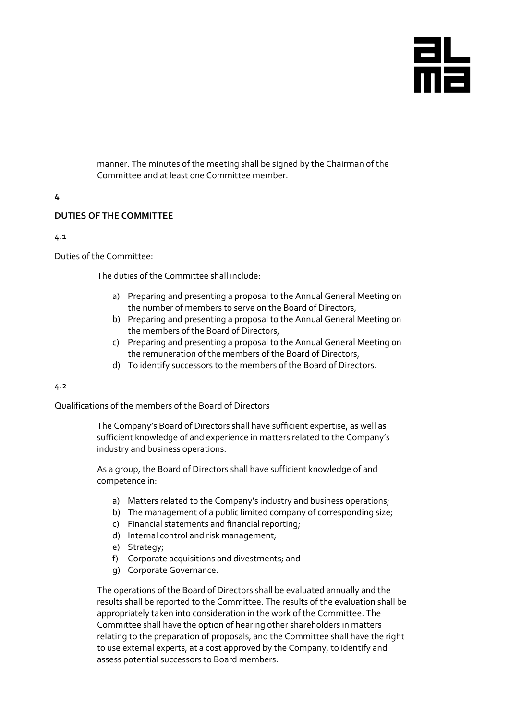

manner. The minutes of the meeting shall be signed by the Chairman of the Committee and at least one Committee member.

## **4**

# **DUTIES OF THE COMMITTEE**

4.1

Duties of the Committee:

The duties of the Committee shall include:

- a) Preparing and presenting a proposal to the Annual General Meeting on the number of members to serve on the Board of Directors,
- b) Preparing and presenting a proposal to the Annual General Meeting on the members of the Board of Directors,
- c) Preparing and presenting a proposal to the Annual General Meeting on the remuneration of the members of the Board of Directors,
- d) To identify successors to the members of the Board of Directors.

#### 4.2

Qualifications of the members of the Board of Directors

The Company's Board of Directors shall have sufficient expertise, as well as sufficient knowledge of and experience in matters related to the Company's industry and business operations.

As a group, the Board of Directors shall have sufficient knowledge of and competence in:

- a) Matters related to the Company's industry and business operations;
- b) The management of a public limited company of corresponding size;
- c) Financial statements and financial reporting;
- d) Internal control and risk management;
- e) Strategy;
- f) Corporate acquisitions and divestments; and
- g) Corporate Governance.

The operations of the Board of Directors shall be evaluated annually and the results shall be reported to the Committee. The results of the evaluation shall be appropriately taken into consideration in the work of the Committee. The Committee shall have the option of hearing other shareholders in matters relating to the preparation of proposals, and the Committee shall have the right to use external experts, at a cost approved by the Company, to identify and assess potential successors to Board members.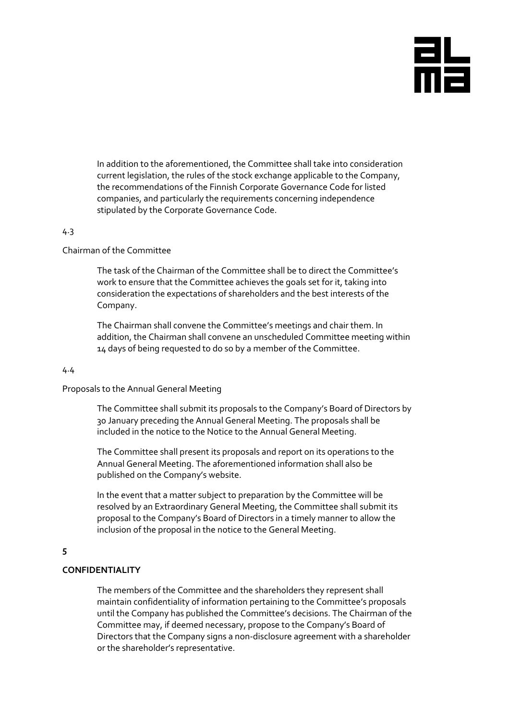

In addition to the aforementioned, the Committee shall take into consideration current legislation, the rules of the stock exchange applicable to the Company, the recommendations of the Finnish Corporate Governance Code for listed companies, and particularly the requirements concerning independence stipulated by the Corporate Governance Code.

# 4.3

#### Chairman of the Committee

The task of the Chairman of the Committee shall be to direct the Committee's work to ensure that the Committee achieves the goals set for it, taking into consideration the expectations of shareholders and the best interests of the Company.

The Chairman shall convene the Committee's meetings and chair them. In addition, the Chairman shall convene an unscheduled Committee meeting within 14 days of being requested to do so by a member of the Committee.

#### 4.4

#### Proposals to the Annual General Meeting

The Committee shall submit its proposals to the Company's Board of Directors by 30 January preceding the Annual General Meeting. The proposals shall be included in the notice to the Notice to the Annual General Meeting.

The Committee shall present its proposals and report on its operations to the Annual General Meeting. The aforementioned information shall also be published on the Company's website.

In the event that a matter subject to preparation by the Committee will be resolved by an Extraordinary General Meeting, the Committee shall submit its proposal to the Company's Board of Directors in a timely manner to allow the inclusion of the proposal in the notice to the General Meeting.

#### **5**

## **CONFIDENTIALITY**

The members of the Committee and the shareholders they represent shall maintain confidentiality of information pertaining to the Committee's proposals until the Company has published the Committee's decisions. The Chairman of the Committee may, if deemed necessary, propose to the Company's Board of Directors that the Company signs a non-disclosure agreement with a shareholder or the shareholder's representative.